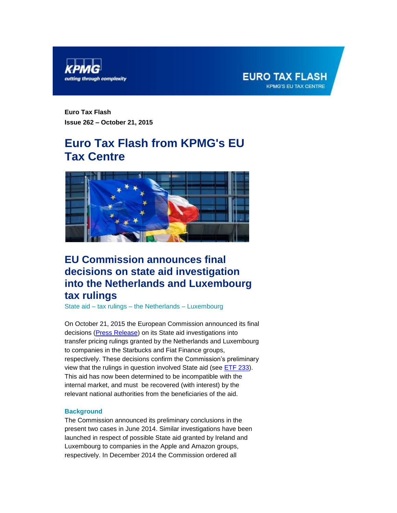

<span id="page-0-0"></span>

**Euro Tax Flash Issue 262 – October 21, 2015**

# **Euro Tax Flash from KPMG's EU Tax Centre**



# **EU Commission announces final decisions on state aid investigation into the Netherlands and Luxembourg tax rulings**

State aid – tax rulings – the Netherlands – Luxembourg

On October 21, 2015 the European Commission announced its final decisions [\(Press Release\)](http://europa.eu/rapid/press-release_IP-15-5880_en.htm) on its State aid investigations into transfer pricing rulings granted by the Netherlands and Luxembourg to companies in the Starbucks and Fiat Finance groups, respectively. These decisions confirm the Commission's preliminary view that the rulings in question involved State aid (see [ETF 233\)](https://home.kpmg.com/content/dam/kpmg/pdf/2014/09/etf-233.pdf). This aid has now been determined to be incompatible with the internal market, and must be recovered (with interest) by the relevant national authorities from the beneficiaries of the aid.

## **Background**

The Commission announced its preliminary conclusions in the present two cases in June 2014. Similar investigations have been launched in respect of possible State aid granted by Ireland and Luxembourg to companies in the Apple and Amazon groups, respectively. In December 2014 the Commission ordered all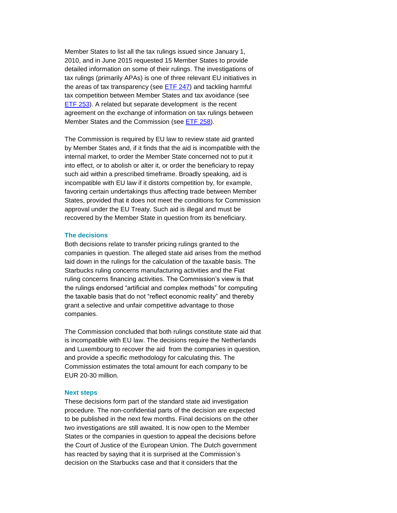Member States to list all the tax rulings issued since January 1, 2010, and in June 2015 requested 15 Member States to provide detailed information on some of their rulings. The investigations of tax rulings (primarily APAs) is one of three relevant EU initiatives in the areas of tax transparency (see [ETF](https://home.kpmg.com/content/dam/kpmg/pdf/2015/06/etf-247.pdf) 247) and tackling harmful tax competition between Member States and tax avoidance (see [ETF 253\)](https://home.kpmg.com/content/dam/kpmg/pdf/2015/07/etf-253.pdf). A related but separate development is the recent agreement on the exchange of information on tax rulings between Member States and the Commission (see [ETF 258\)](https://home.kpmg.com/xx/en/home/insights/2015/10/etf-eu-agreement-on-mandatory-exchange-of-information.html).

The Commission is required by EU law to review state aid granted by Member States and, if it finds that the aid is incompatible with the internal market, to order the Member State concerned not to put it into effect, or to abolish or alter it, or order the beneficiary to repay such aid within a prescribed timeframe. Broadly speaking, aid is incompatible with EU law if it distorts competition by, for example, favoring certain undertakings thus affecting trade between Member States, provided that it does not meet the conditions for Commission approval under the EU Treaty. Such aid is illegal and must be recovered by the Member State in question from its beneficiary.

# **The decisions**

Both decisions relate to transfer pricing rulings granted to the companies in question. The alleged state aid arises from the method laid down in the rulings for the calculation of the taxable basis. The Starbucks ruling concerns manufacturing activities and the Fiat ruling concerns financing activities. The Commission's view is that the rulings endorsed "artificial and complex methods" for computing the taxable basis that do not "reflect economic reality" and thereby grant a selective and unfair competitive advantage to those companies.

The Commission concluded that both rulings constitute state aid that is incompatible with EU law. The decisions require the Netherlands and Luxembourg to recover the aid from the companies in question, and provide a specific methodology for calculating this. The Commission estimates the total amount for each company to be EUR 20-30 million.

#### **Next steps**

These decisions form part of the standard state aid investigation procedure. The non-confidential parts of the decision are expected to be published in the next few months. Final decisions on the other two investigations are still awaited. It is now open to the Member States or the companies in question to appeal the decisions before the Court of Justice of the European Union. The Dutch government has reacted by saying that it is surprised at the Commission's decision on the Starbucks case and that it considers that the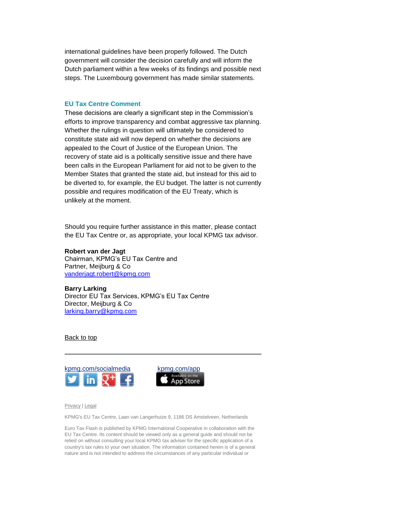international guidelines have been properly followed. The Dutch government will consider the decision carefully and will inform the Dutch parliament within a few weeks of its findings and possible next steps. The Luxembourg government has made similar statements.

### **EU Tax Centre Comment**

These decisions are clearly a significant step in the Commission's efforts to improve transparency and combat aggressive tax planning. Whether the rulings in question will ultimately be considered to constitute state aid will now depend on whether the decisions are appealed to the Court of Justice of the European Union. The recovery of state aid is a politically sensitive issue and there have been calls in the European Parliament for aid not to be given to the Member States that granted the state aid, but instead for this aid to be diverted to, for example, the EU budget. The latter is not currently possible and requires modification of the EU Treaty, which is unlikely at the moment.

Should you require further assistance in this matter, please contact the EU Tax Centre or, as appropriate, your local KPMG tax advisor.

**Robert van der Jagt** Chairman, KPMG's EU Tax Centre and Partner, Meijburg & Co [vanderjagt.robert@kpmg.com](mailto:vanderjagt.robert@kpmg.com)

**Barry Larking** Director EU Tax Services, KPMG's EU Tax Centre Director, Meijburg & Co [larking.barry@kpmg.com](mailto:larking.barry@kpmg.com)

### [Back to top](#page-0-0)





[Privacy](https://www.kpmg.com/global/en/Pages/privacy.aspx) [| Legal](https://www.kpmg.com/global/en/Pages/onlinedisclaimer.aspx)

KPMG's EU Tax Centre, Laan van Langerhuize 9, 1186 DS Amstelveen, Netherlands

Euro Tax Flash is published by KPMG International Cooperative in collaboration with the EU Tax Centre. Its content should be viewed only as a general guide and should not be relied on without consulting your local KPMG tax adviser for the specific application of a country's tax rules to your own situation. The information contained herein is of a general nature and is not intended to address the circumstances of any particular individual or